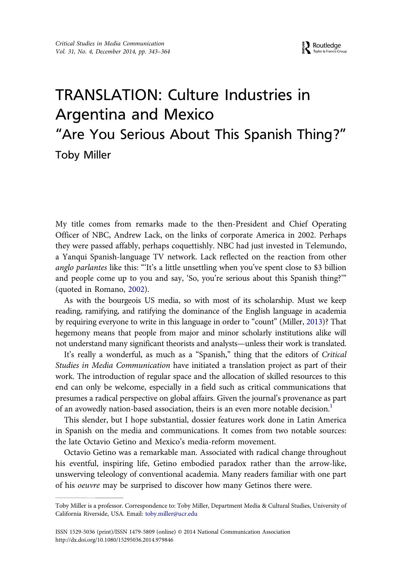# TRANSLATION: Culture Industries in Argentina and Mexico

"Are You Serious About This Spanish Thing?"

Toby Miller

My title comes from remarks made to the then-President and Chief Operating Officer of NBC, Andrew Lack, on the links of corporate America in 2002. Perhaps they were passed affably, perhaps coquettishly. NBC had just invested in Telemundo, a Yanqui Spanish-language TV network. Lack reflected on the reaction from other anglo parlantes like this: "'It's a little unsettling when you've spent close to \$3 billion and people come up to you and say, 'So, you're serious about this Spanish thing?'" (quoted in Romano, [2002](#page-3-0)).

As with the bourgeois US media, so with most of its scholarship. Must we keep reading, ramifying, and ratifying the dominance of the English language in academia by requiring everyone to write in this language in order to "count" (Miller, [2013\)](#page-3-0)? That hegemony means that people from major and minor scholarly institutions alike will not understand many significant theorists and analysts—unless their work is translated.

It's really a wonderful, as much as a "Spanish," thing that the editors of Critical Studies in Media Communication have initiated a translation project as part of their work. The introduction of regular space and the allocation of skilled resources to this end can only be welcome, especially in a field such as critical communications that presumes a radical perspective on global affairs. Given the journal's provenance as part of an avowedly nation-based association, theirs is an even more notable decision.<sup>1</sup>

This slender, but I hope substantial, dossier features work done in Latin America in Spanish on the media and communications. It comes from two notable sources: the late Octavio Getino and Mexico's media-reform movement.

Octavio Getino was a remarkable man. Associated with radical change throughout his eventful, inspiring life, Getino embodied paradox rather than the arrow-like, unswerving teleology of conventional academia. Many readers familiar with one part of his oeuvre may be surprised to discover how many Getinos there were.

Toby Miller is a professor. Correspondence to: Toby Miller, Department Media & Cultural Studies, University of California Riverside, USA. Email: [toby.miller@ucr.edu](mailto:toby.miller@ucr.edu)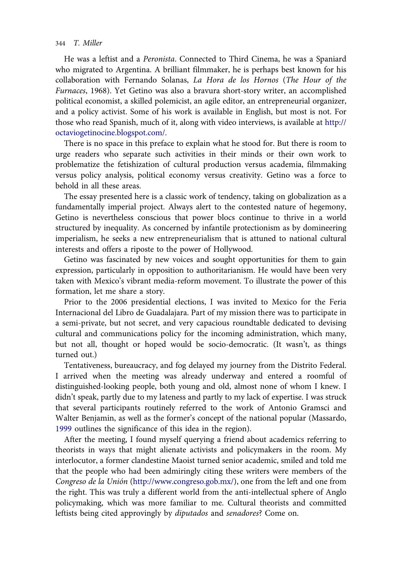#### 344 T. Miller

He was a leftist and a Peronista. Connected to Third Cinema, he was a Spaniard who migrated to Argentina. A brilliant filmmaker, he is perhaps best known for his collaboration with Fernando Solanas, La Hora de los Hornos (The Hour of the Furnaces, 1968). Yet Getino was also a bravura short-story writer, an accomplished political economist, a skilled polemicist, an agile editor, an entrepreneurial organizer, and a policy activist. Some of his work is available in English, but most is not. For those who read Spanish, much of it, along with video interviews, is available at [http://](http://octaviogetinocine.blogspot.com/) [octaviogetinocine.blogspot.com/.](http://octaviogetinocine.blogspot.com/)

There is no space in this preface to explain what he stood for. But there is room to urge readers who separate such activities in their minds or their own work to problematize the fetishization of cultural production versus academia, filmmaking versus policy analysis, political economy versus creativity. Getino was a force to behold in all these areas.

The essay presented here is a classic work of tendency, taking on globalization as a fundamentally imperial project. Always alert to the contested nature of hegemony, Getino is nevertheless conscious that power blocs continue to thrive in a world structured by inequality. As concerned by infantile protectionism as by domineering imperialism, he seeks a new entrepreneurialism that is attuned to national cultural interests and offers a riposte to the power of Hollywood.

Getino was fascinated by new voices and sought opportunities for them to gain expression, particularly in opposition to authoritarianism. He would have been very taken with Mexico's vibrant media-reform movement. To illustrate the power of this formation, let me share a story.

Prior to the 2006 presidential elections, I was invited to Mexico for the Feria Internacional del Libro de Guadalajara. Part of my mission there was to participate in a semi-private, but not secret, and very capacious roundtable dedicated to devising cultural and communications policy for the incoming administration, which many, but not all, thought or hoped would be socio-democratic. (It wasn't, as things turned out.)

Tentativeness, bureaucracy, and fog delayed my journey from the Distrito Federal. I arrived when the meeting was already underway and entered a roomful of distinguished-looking people, both young and old, almost none of whom I knew. I didn't speak, partly due to my lateness and partly to my lack of expertise. I was struck that several participants routinely referred to the work of Antonio Gramsci and Walter Benjamin, as well as the former's concept of the national popular (Massardo, [1999](#page-3-0) outlines the significance of this idea in the region).

After the meeting, I found myself querying a friend about academics referring to theorists in ways that might alienate activists and policymakers in the room. My interlocutor, a former clandestine Maoist turned senior academic, smiled and told me that the people who had been admiringly citing these writers were members of the Congreso de la Unión [\(http://www.congreso.gob.mx/\)](http://www.congreso.gob.mx/), one from the left and one from the right. This was truly a different world from the anti-intellectual sphere of Anglo policymaking, which was more familiar to me. Cultural theorists and committed leftists being cited approvingly by diputados and senadores? Come on.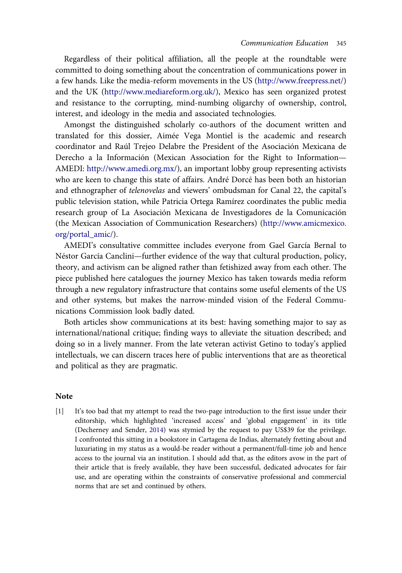Regardless of their political affiliation, all the people at the roundtable were committed to doing something about the concentration of communications power in a few hands. Like the media-reform movements in the US [\(http://www.freepress.net/\)](http://www.freepress.net/) and the UK [\(http://www.mediareform.org.uk/\)](http://www.mediareform.org.uk/), Mexico has seen organized protest and resistance to the corrupting, mind-numbing oligarchy of ownership, control, interest, and ideology in the media and associated technologies.

Amongst the distinguished scholarly co-authors of the document written and translated for this dossier, Aimée Vega Montiel is the academic and research coordinator and Raúl Trejeo Delabre the President of the Asociación Mexicana de Derecho a la Información (Mexican Association for the Right to Information— AMEDI: <http://www.amedi.org.mx/>), an important lobby group representing activists who are keen to change this state of affairs. André Dorcé has been both an historian and ethnographer of telenovelas and viewers' ombudsman for Canal 22, the capital's public television station, while Patricia Ortega Ramírez coordinates the public media research group of La Asociación Mexicana de Investigadores de la Comunicación (the Mexican Association of Communication Researchers) ([http://www.amicmexico.](http://www.amicmexico.org/portal_amic/) [org/portal\\_amic/\)](http://www.amicmexico.org/portal_amic/).

AMEDI's consultative committee includes everyone from Gael García Bernal to Néstor García Canclini—further evidence of the way that cultural production, policy, theory, and activism can be aligned rather than fetishized away from each other. The piece published here catalogues the journey Mexico has taken towards media reform through a new regulatory infrastructure that contains some useful elements of the US and other systems, but makes the narrow-minded vision of the Federal Communications Commission look badly dated.

Both articles show communications at its best: having something major to say as international/national critique; finding ways to alleviate the situation described; and doing so in a lively manner. From the late veteran activist Getino to today's applied intellectuals, we can discern traces here of public interventions that are as theoretical and political as they are pragmatic.

#### Note

[1] It's too bad that my attempt to read the two-page introduction to the first issue under their editorship, which highlighted 'increased access' and 'global engagement' in its title (Decherney and Sender, [2014\)](#page-3-0) was stymied by the request to pay US\$39 for the privilege. I confronted this sitting in a bookstore in Cartagena de Indias, alternately fretting about and luxuriating in my status as a would-be reader without a permanent/full-time job and hence access to the journal via an institution. I should add that, as the editors avow in the part of their article that is freely available, they have been successful, dedicated advocates for fair use, and are operating within the constraints of conservative professional and commercial norms that are set and continued by others.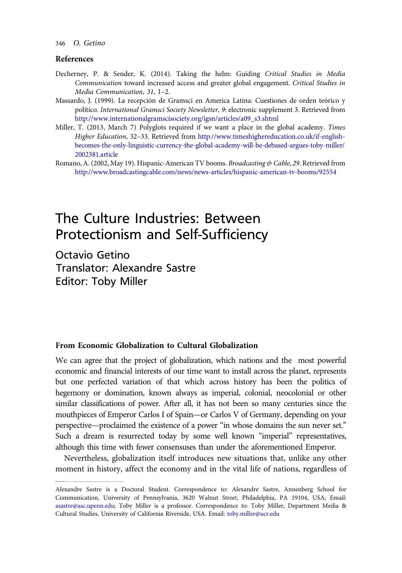#### <span id="page-3-0"></span>346 O. Getino

#### References

- Decherney, P. & Sender, K. (2014). Taking the helm: Guiding Critical Studies in Media Communication toward increased access and greater global engagement. Critical Studies in Media Communication, 31, 1–2.
- Massardo, J. (1999). La recepción de Gramsci en America Latina: Cuestiones de orden teórico y político. International Gramsci Society Newsletter, 9: electronic supplement 3. Retrieved from [http://www.internationalgramscisociety.org/igsn/articles/a09\\_s3.shtml](http://www.internationalgramscisociety.org/igsn/articles/a09_s3.shtml)
- Miller, T. (2013, March 7) Polyglots required if we want a place in the global academy. Times Higher Education, 32–33. Retrieved from [http://www.timeshighereducation.co.uk/if-english](http://www.timeshighereducation.co.uk/if-english-becomes-the-only-linguistic-currency-the-global-academy-will-be-debased-argues-toby-miller/2002381.article)[becomes-the-only-linguistic-currency-the-global-academy-will-be-debased-argues-toby-miller/](http://www.timeshighereducation.co.uk/if-english-becomes-the-only-linguistic-currency-the-global-academy-will-be-debased-argues-toby-miller/2002381.article) [2002381.article](http://www.timeshighereducation.co.uk/if-english-becomes-the-only-linguistic-currency-the-global-academy-will-be-debased-argues-toby-miller/2002381.article)
- Romano, A. (2002, May 19). Hispanic-American TV booms. Broadcasting & Cable, 29. Retrieved from <http://www.broadcastingcable.com/news/news-articles/hispanic-american-tv-booms/92554>

# The Culture Industries: Between Protectionism and Self-Sufficiency

Octavio Getino Translator: Alexandre Sastre Editor: Toby Miller

#### From Economic Globalization to Cultural Globalization

We can agree that the project of globalization, which nations and the most powerful economic and financial interests of our time want to install across the planet, represents but one perfected variation of that which across history has been the politics of hegemony or domination, known always as imperial, colonial, neocolonial or other similar classifications of power. After all, it has not been so many centuries since the mouthpieces of Emperor Carlos I of Spain—or Carlos V of Germany, depending on your perspective—proclaimed the existence of a power "in whose domains the sun never set." Such a dream is resurrected today by some well known "imperial" representatives, although this time with fewer consensuses than under the aforementioned Emperor.

Nevertheless, globalization itself introduces new situations that, unlike any other moment in history, affect the economy and in the vital life of nations, regardless of

Alexandre Sastre is a Doctoral Student. Correspondence to: Alexandre Sastre, Annenberg School for Communication, University of Pennsylvania, 3620 Walnut Street, Philadelphia, PA 19104, USA; Email: [asastre@asc.upenn.edu](mailto:asastre@asc.upenn.edu); Toby Miller is a professor. Correspondence to: Toby Miller, Department Media & Cultural Studies, University of California Riverside, USA. Email: [toby.miller@ucr.edu](mailto:toby.miller@ucr.edu)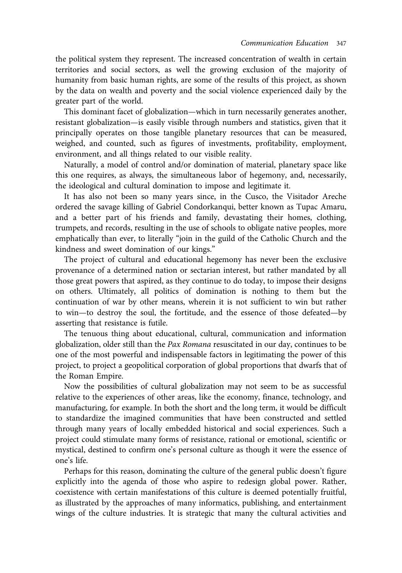the political system they represent. The increased concentration of wealth in certain territories and social sectors, as well the growing exclusion of the majority of humanity from basic human rights, are some of the results of this project, as shown by the data on wealth and poverty and the social violence experienced daily by the greater part of the world.

This dominant facet of globalization—which in turn necessarily generates another, resistant globalization—is easily visible through numbers and statistics, given that it principally operates on those tangible planetary resources that can be measured, weighed, and counted, such as figures of investments, profitability, employment, environment, and all things related to our visible reality.

Naturally, a model of control and/or domination of material, planetary space like this one requires, as always, the simultaneous labor of hegemony, and, necessarily, the ideological and cultural domination to impose and legitimate it.

It has also not been so many years since, in the Cusco, the Visitador Areche ordered the savage killing of Gabriel Condorkanqui, better known as Tupac Amaru, and a better part of his friends and family, devastating their homes, clothing, trumpets, and records, resulting in the use of schools to obligate native peoples, more emphatically than ever, to literally "join in the guild of the Catholic Church and the kindness and sweet domination of our kings."

The project of cultural and educational hegemony has never been the exclusive provenance of a determined nation or sectarian interest, but rather mandated by all those great powers that aspired, as they continue to do today, to impose their designs on others. Ultimately, all politics of domination is nothing to them but the continuation of war by other means, wherein it is not sufficient to win but rather to win—to destroy the soul, the fortitude, and the essence of those defeated—by asserting that resistance is futile.

The tenuous thing about educational, cultural, communication and information globalization, older still than the Pax Romana resuscitated in our day, continues to be one of the most powerful and indispensable factors in legitimating the power of this project, to project a geopolitical corporation of global proportions that dwarfs that of the Roman Empire.

Now the possibilities of cultural globalization may not seem to be as successful relative to the experiences of other areas, like the economy, finance, technology, and manufacturing, for example. In both the short and the long term, it would be difficult to standardize the imagined communities that have been constructed and settled through many years of locally embedded historical and social experiences. Such a project could stimulate many forms of resistance, rational or emotional, scientific or mystical, destined to confirm one's personal culture as though it were the essence of one's life.

Perhaps for this reason, dominating the culture of the general public doesn't figure explicitly into the agenda of those who aspire to redesign global power. Rather, coexistence with certain manifestations of this culture is deemed potentially fruitful, as illustrated by the approaches of many informatics, publishing, and entertainment wings of the culture industries. It is strategic that many the cultural activities and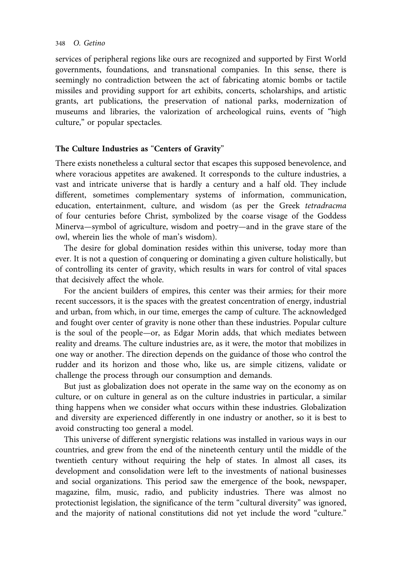#### 348 O. Getino

services of peripheral regions like ours are recognized and supported by First World governments, foundations, and transnational companies. In this sense, there is seemingly no contradiction between the act of fabricating atomic bombs or tactile missiles and providing support for art exhibits, concerts, scholarships, and artistic grants, art publications, the preservation of national parks, modernization of museums and libraries, the valorization of archeological ruins, events of "high culture," or popular spectacles.

## The Culture Industries as "Centers of Gravity"

There exists nonetheless a cultural sector that escapes this supposed benevolence, and where voracious appetites are awakened. It corresponds to the culture industries, a vast and intricate universe that is hardly a century and a half old. They include different, sometimes complementary systems of information, communication, education, entertainment, culture, and wisdom (as per the Greek tetradracma of four centuries before Christ, symbolized by the coarse visage of the Goddess Minerva—symbol of agriculture, wisdom and poetry—and in the grave stare of the owl, wherein lies the whole of man's wisdom).

The desire for global domination resides within this universe, today more than ever. It is not a question of conquering or dominating a given culture holistically, but of controlling its center of gravity, which results in wars for control of vital spaces that decisively affect the whole.

For the ancient builders of empires, this center was their armies; for their more recent successors, it is the spaces with the greatest concentration of energy, industrial and urban, from which, in our time, emerges the camp of culture. The acknowledged and fought over center of gravity is none other than these industries. Popular culture is the soul of the people—or, as Edgar Morin adds, that which mediates between reality and dreams. The culture industries are, as it were, the motor that mobilizes in one way or another. The direction depends on the guidance of those who control the rudder and its horizon and those who, like us, are simple citizens, validate or challenge the process through our consumption and demands.

But just as globalization does not operate in the same way on the economy as on culture, or on culture in general as on the culture industries in particular, a similar thing happens when we consider what occurs within these industries. Globalization and diversity are experienced differently in one industry or another, so it is best to avoid constructing too general a model.

This universe of different synergistic relations was installed in various ways in our countries, and grew from the end of the nineteenth century until the middle of the twentieth century without requiring the help of states. In almost all cases, its development and consolidation were left to the investments of national businesses and social organizations. This period saw the emergence of the book, newspaper, magazine, film, music, radio, and publicity industries. There was almost no protectionist legislation, the significance of the term "cultural diversity" was ignored, and the majority of national constitutions did not yet include the word "culture."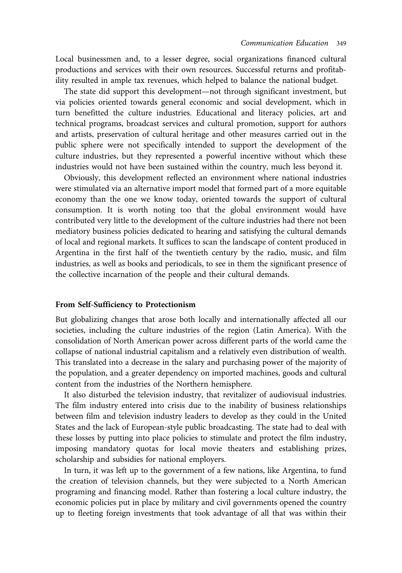Local businessmen and, to a lesser degree, social organizations financed cultural productions and services with their own resources. Successful returns and profitability resulted in ample tax revenues, which helped to balance the national budget.

The state did support this development—not through significant investment, but via policies oriented towards general economic and social development, which in turn benefitted the culture industries. Educational and literacy policies, art and technical programs, broadcast services and cultural promotion, support for authors and artists, preservation of cultural heritage and other measures carried out in the public sphere were not specifically intended to support the development of the culture industries, but they represented a powerful incentive without which these industries would not have been sustained within the country, much less beyond it.

Obviously, this development reflected an environment where national industries were stimulated via an alternative import model that formed part of a more equitable economy than the one we know today, oriented towards the support of cultural consumption. It is worth noting too that the global environment would have contributed very little to the development of the culture industries had there not been mediatory business policies dedicated to hearing and satisfying the cultural demands of local and regional markets. It suffices to scan the landscape of content produced in Argentina in the first half of the twentieth century by the radio, music, and film industries, as well as books and periodicals, to see in them the significant presence of the collective incarnation of the people and their cultural demands.

#### From Self-Sufficiency to Protectionism

But globalizing changes that arose both locally and internationally affected all our societies, including the culture industries of the region (Latin America). With the consolidation of North American power across different parts of the world came the collapse of national industrial capitalism and a relatively even distribution of wealth. This translated into a decrease in the salary and purchasing power of the majority of the population, and a greater dependency on imported machines, goods and cultural content from the industries of the Northern hemisphere.

It also disturbed the television industry, that revitalizer of audiovisual industries. The film industry entered into crisis due to the inability of business relationships between film and television industry leaders to develop as they could in the United States and the lack of European-style public broadcasting. The state had to deal with these losses by putting into place policies to stimulate and protect the film industry, imposing mandatory quotas for local movie theaters and establishing prizes, scholarship and subsidies for national employers.

In turn, it was left up to the government of a few nations, like Argentina, to fund the creation of television channels, but they were subjected to a North American programing and financing model. Rather than fostering a local culture industry, the economic policies put in place by military and civil governments opened the country up to fleeting foreign investments that took advantage of all that was within their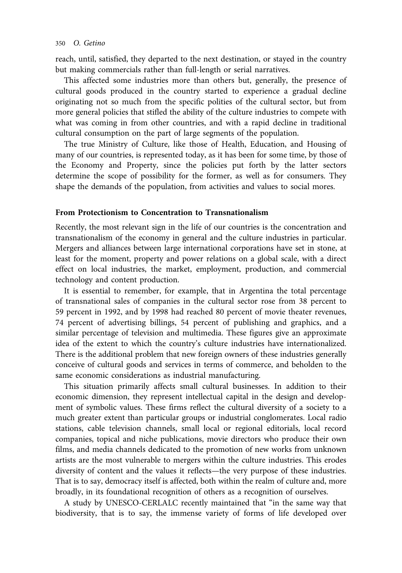reach, until, satisfied, they departed to the next destination, or stayed in the country but making commercials rather than full-length or serial narratives.

This affected some industries more than others but, generally, the presence of cultural goods produced in the country started to experience a gradual decline originating not so much from the specific polities of the cultural sector, but from more general policies that stifled the ability of the culture industries to compete with what was coming in from other countries, and with a rapid decline in traditional cultural consumption on the part of large segments of the population.

The true Ministry of Culture, like those of Health, Education, and Housing of many of our countries, is represented today, as it has been for some time, by those of the Economy and Property, since the policies put forth by the latter sectors determine the scope of possibility for the former, as well as for consumers. They shape the demands of the population, from activities and values to social mores.

#### From Protectionism to Concentration to Transnationalism

Recently, the most relevant sign in the life of our countries is the concentration and transnationalism of the economy in general and the culture industries in particular. Mergers and alliances between large international corporations have set in stone, at least for the moment, property and power relations on a global scale, with a direct effect on local industries, the market, employment, production, and commercial technology and content production.

It is essential to remember, for example, that in Argentina the total percentage of transnational sales of companies in the cultural sector rose from 38 percent to 59 percent in 1992, and by 1998 had reached 80 percent of movie theater revenues, 74 percent of advertising billings, 54 percent of publishing and graphics, and a similar percentage of television and multimedia. These figures give an approximate idea of the extent to which the country's culture industries have internationalized. There is the additional problem that new foreign owners of these industries generally conceive of cultural goods and services in terms of commerce, and beholden to the same economic considerations as industrial manufacturing.

This situation primarily affects small cultural businesses. In addition to their economic dimension, they represent intellectual capital in the design and development of symbolic values. These firms reflect the cultural diversity of a society to a much greater extent than particular groups or industrial conglomerates. Local radio stations, cable television channels, small local or regional editorials, local record companies, topical and niche publications, movie directors who produce their own films, and media channels dedicated to the promotion of new works from unknown artists are the most vulnerable to mergers within the culture industries. This erodes diversity of content and the values it reflects—the very purpose of these industries. That is to say, democracy itself is affected, both within the realm of culture and, more broadly, in its foundational recognition of others as a recognition of ourselves.

A study by UNESCO-CERLALC recently maintained that "in the same way that biodiversity, that is to say, the immense variety of forms of life developed over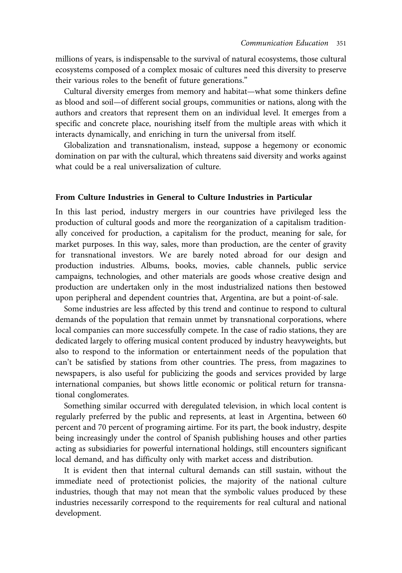millions of years, is indispensable to the survival of natural ecosystems, those cultural ecosystems composed of a complex mosaic of cultures need this diversity to preserve their various roles to the benefit of future generations."

Cultural diversity emerges from memory and habitat—what some thinkers define as blood and soil—of different social groups, communities or nations, along with the authors and creators that represent them on an individual level. It emerges from a specific and concrete place, nourishing itself from the multiple areas with which it interacts dynamically, and enriching in turn the universal from itself.

Globalization and transnationalism, instead, suppose a hegemony or economic domination on par with the cultural, which threatens said diversity and works against what could be a real universalization of culture.

#### From Culture Industries in General to Culture Industries in Particular

In this last period, industry mergers in our countries have privileged less the production of cultural goods and more the reorganization of a capitalism traditionally conceived for production, a capitalism for the product, meaning for sale, for market purposes. In this way, sales, more than production, are the center of gravity for transnational investors. We are barely noted abroad for our design and production industries. Albums, books, movies, cable channels, public service campaigns, technologies, and other materials are goods whose creative design and production are undertaken only in the most industrialized nations then bestowed upon peripheral and dependent countries that, Argentina, are but a point-of-sale.

Some industries are less affected by this trend and continue to respond to cultural demands of the population that remain unmet by transnational corporations, where local companies can more successfully compete. In the case of radio stations, they are dedicated largely to offering musical content produced by industry heavyweights, but also to respond to the information or entertainment needs of the population that can't be satisfied by stations from other countries. The press, from magazines to newspapers, is also useful for publicizing the goods and services provided by large international companies, but shows little economic or political return for transnational conglomerates.

Something similar occurred with deregulated television, in which local content is regularly preferred by the public and represents, at least in Argentina, between 60 percent and 70 percent of programing airtime. For its part, the book industry, despite being increasingly under the control of Spanish publishing houses and other parties acting as subsidiaries for powerful international holdings, still encounters significant local demand, and has difficulty only with market access and distribution.

It is evident then that internal cultural demands can still sustain, without the immediate need of protectionist policies, the majority of the national culture industries, though that may not mean that the symbolic values produced by these industries necessarily correspond to the requirements for real cultural and national development.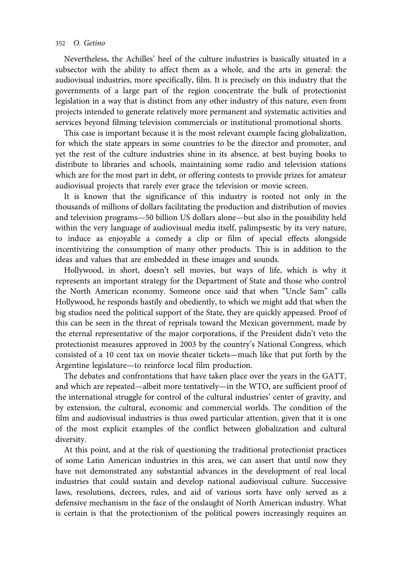#### 352 O. Getino

Nevertheless, the Achilles' heel of the culture industries is basically situated in a subsector with the ability to affect them as a whole, and the arts in general: the audiovisual industries, more specifically, film. It is precisely on this industry that the governments of a large part of the region concentrate the bulk of protectionist legislation in a way that is distinct from any other industry of this nature, even from projects intended to generate relatively more permanent and systematic activities and services beyond filming television commercials or institutional promotional shorts.

This case is important because it is the most relevant example facing globalization, for which the state appears in some countries to be the director and promoter, and yet the rest of the culture industries shine in its absence, at best buying books to distribute to libraries and schools, maintaining some radio and television stations which are for the most part in debt, or offering contests to provide prizes for amateur audiovisual projects that rarely ever grace the television or movie screen.

It is known that the significance of this industry is rooted not only in the thousands of millions of dollars facilitating the production and distribution of movies and television programs—50 billion US dollars alone—but also in the possibility held within the very language of audiovisual media itself, palimpsestic by its very nature, to induce as enjoyable a comedy a clip or film of special effects alongside incentivizing the consumption of many other products. This is in addition to the ideas and values that are embedded in these images and sounds.

Hollywood, in short, doesn't sell movies, but ways of life, which is why it represents an important strategy for the Department of State and those who control the North American economy. Someone once said that when "Uncle Sam" calls Hollywood, he responds hastily and obediently, to which we might add that when the big studios need the political support of the State, they are quickly appeased. Proof of this can be seen in the threat of reprisals toward the Mexican government, made by the eternal representative of the major corporations, if the President didn't veto the protectionist measures approved in 2003 by the country's National Congress, which consisted of a 10 cent tax on movie theater tickets—much like that put forth by the Argentine legislature—to reinforce local film production.

The debates and confrontations that have taken place over the years in the GATT, and which are repeated—albeit more tentatively—in the WTO, are sufficient proof of the international struggle for control of the cultural industries' center of gravity, and by extension, the cultural, economic and commercial worlds. The condition of the film and audiovisual industries is thus owed particular attention, given that it is one of the most explicit examples of the conflict between globalization and cultural diversity.

At this point, and at the risk of questioning the traditional protectionist practices of some Latin American industries in this area, we can assert that until now they have not demonstrated any substantial advances in the development of real local industries that could sustain and develop national audiovisual culture. Successive laws, resolutions, decrees, rules, and aid of various sorts have only served as a defensive mechanism in the face of the onslaught of North American industry. What is certain is that the protectionism of the political powers increasingly requires an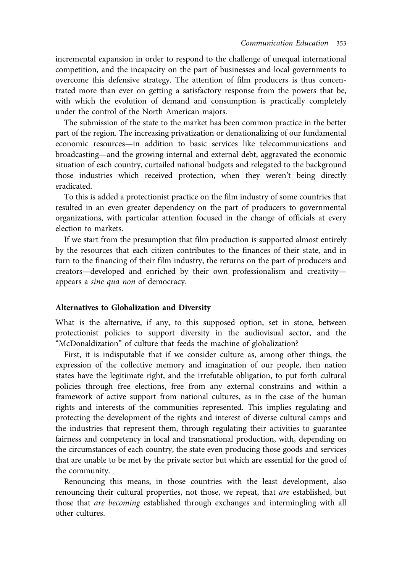incremental expansion in order to respond to the challenge of unequal international competition, and the incapacity on the part of businesses and local governments to overcome this defensive strategy. The attention of film producers is thus concentrated more than ever on getting a satisfactory response from the powers that be, with which the evolution of demand and consumption is practically completely under the control of the North American majors.

The submission of the state to the market has been common practice in the better part of the region. The increasing privatization or denationalizing of our fundamental economic resources—in addition to basic services like telecommunications and broadcasting—and the growing internal and external debt, aggravated the economic situation of each country, curtailed national budgets and relegated to the background those industries which received protection, when they weren't being directly eradicated.

To this is added a protectionist practice on the film industry of some countries that resulted in an even greater dependency on the part of producers to governmental organizations, with particular attention focused in the change of officials at every election to markets.

If we start from the presumption that film production is supported almost entirely by the resources that each citizen contributes to the finances of their state, and in turn to the financing of their film industry, the returns on the part of producers and creators—developed and enriched by their own professionalism and creativity appears a sine qua non of democracy.

#### Alternatives to Globalization and Diversity

What is the alternative, if any, to this supposed option, set in stone, between protectionist policies to support diversity in the audiovisual sector, and the "McDonaldization" of culture that feeds the machine of globalization?

First, it is indisputable that if we consider culture as, among other things, the expression of the collective memory and imagination of our people, then nation states have the legitimate right, and the irrefutable obligation, to put forth cultural policies through free elections, free from any external constrains and within a framework of active support from national cultures, as in the case of the human rights and interests of the communities represented. This implies regulating and protecting the development of the rights and interest of diverse cultural camps and the industries that represent them, through regulating their activities to guarantee fairness and competency in local and transnational production, with, depending on the circumstances of each country, the state even producing those goods and services that are unable to be met by the private sector but which are essential for the good of the community.

Renouncing this means, in those countries with the least development, also renouncing their cultural properties, not those, we repeat, that are established, but those that are becoming established through exchanges and intermingling with all other cultures.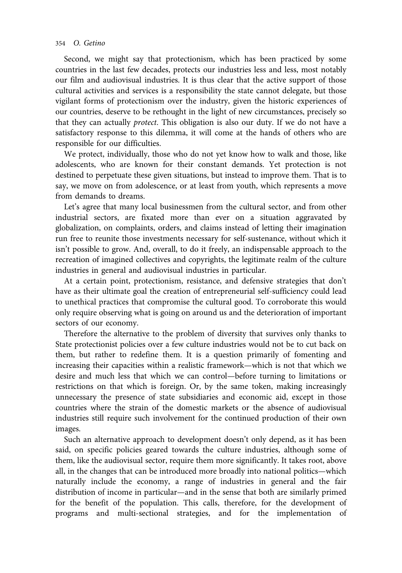#### 354 O. Getino

Second, we might say that protectionism, which has been practiced by some countries in the last few decades, protects our industries less and less, most notably our film and audiovisual industries. It is thus clear that the active support of those cultural activities and services is a responsibility the state cannot delegate, but those vigilant forms of protectionism over the industry, given the historic experiences of our countries, deserve to be rethought in the light of new circumstances, precisely so that they can actually protect. This obligation is also our duty. If we do not have a satisfactory response to this dilemma, it will come at the hands of others who are responsible for our difficulties.

We protect, individually, those who do not yet know how to walk and those, like adolescents, who are known for their constant demands. Yet protection is not destined to perpetuate these given situations, but instead to improve them. That is to say, we move on from adolescence, or at least from youth, which represents a move from demands to dreams.

Let's agree that many local businessmen from the cultural sector, and from other industrial sectors, are fixated more than ever on a situation aggravated by globalization, on complaints, orders, and claims instead of letting their imagination run free to reunite those investments necessary for self-sustenance, without which it isn't possible to grow. And, overall, to do it freely, an indispensable approach to the recreation of imagined collectives and copyrights, the legitimate realm of the culture industries in general and audiovisual industries in particular.

At a certain point, protectionism, resistance, and defensive strategies that don't have as their ultimate goal the creation of entrepreneurial self-sufficiency could lead to unethical practices that compromise the cultural good. To corroborate this would only require observing what is going on around us and the deterioration of important sectors of our economy.

Therefore the alternative to the problem of diversity that survives only thanks to State protectionist policies over a few culture industries would not be to cut back on them, but rather to redefine them. It is a question primarily of fomenting and increasing their capacities within a realistic framework—which is not that which we desire and much less that which we can control—before turning to limitations or restrictions on that which is foreign. Or, by the same token, making increasingly unnecessary the presence of state subsidiaries and economic aid, except in those countries where the strain of the domestic markets or the absence of audiovisual industries still require such involvement for the continued production of their own images.

Such an alternative approach to development doesn't only depend, as it has been said, on specific policies geared towards the culture industries, although some of them, like the audiovisual sector, require them more significantly. It takes root, above all, in the changes that can be introduced more broadly into national politics—which naturally include the economy, a range of industries in general and the fair distribution of income in particular—and in the sense that both are similarly primed for the benefit of the population. This calls, therefore, for the development of programs and multi-sectional strategies, and for the implementation of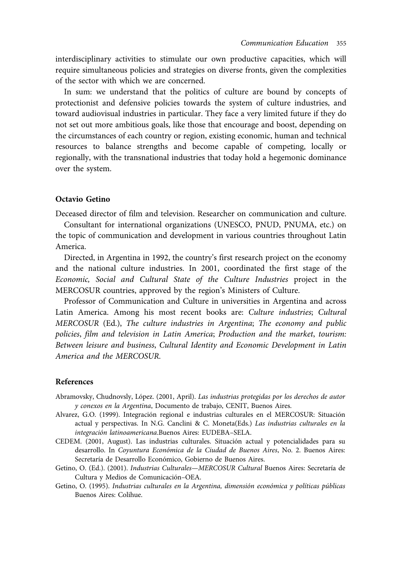<span id="page-12-0"></span>interdisciplinary activities to stimulate our own productive capacities, which will require simultaneous policies and strategies on diverse fronts, given the complexities of the sector with which we are concerned.

In sum: we understand that the politics of culture are bound by concepts of protectionist and defensive policies towards the system of culture industries, and toward audiovisual industries in particular. They face a very limited future if they do not set out more ambitious goals, like those that encourage and boost, depending on the circumstances of each country or region, existing economic, human and technical resources to balance strengths and become capable of competing, locally or regionally, with the transnational industries that today hold a hegemonic dominance over the system.

#### Octavio Getino

Deceased director of film and television. Researcher on communication and culture.

Consultant for international organizations (UNESCO, PNUD, PNUMA, etc.) on the topic of communication and development in various countries throughout Latin America.

Directed, in Argentina in 1992, the country's first research project on the economy and the national culture industries. In 2001, coordinated the first stage of the Economic, Social and Cultural State of the Culture Industries project in the MERCOSUR countries, approved by the region's Ministers of Culture.

Professor of Communication and Culture in universities in Argentina and across Latin America. Among his most recent books are: Culture industries; Cultural MERCOSUR (Ed.), The culture industries in Argentina; The economy and public policies, film and television in Latin America; Production and the market, tourism: Between leisure and business, Cultural Identity and Economic Development in Latin America and the MERCOSUR.

#### References

Abramovsky, Chudnovsly, López. (2001, April). Las industrias protegidas por los derechos de autor y conexos en la Argentina, Documento de trabajo, CENIT, Buenos Aires.

- Alvarez, G.O. (1999). Integración regional e industrias culturales en el MERCOSUR: Situación actual y perspectivas. In N.G. Canclini & C. Moneta(Eds.) Las industrias culturales en la integración latinoamericana.Buenos Aires: EUDEBA–SELA.
- CEDEM. (2001, August). Las industrias culturales. Situación actual y potencialidades para su desarrollo. In Coyuntura Económica de la Ciudad de Buenos Aires, No. 2. Buenos Aires: Secretaría de Desarrollo Económico, Gobierno de Buenos Aires.
- Getino, O. (Ed.). (2001). Industrias Culturales—MERCOSUR Cultural Buenos Aires: Secretaría de Cultura y Medios de Comunicación–OEA.
- Getino, O. (1995). Industrias culturales en la Argentina, dimensión económica y políticas públicas Buenos Aires: Colihue.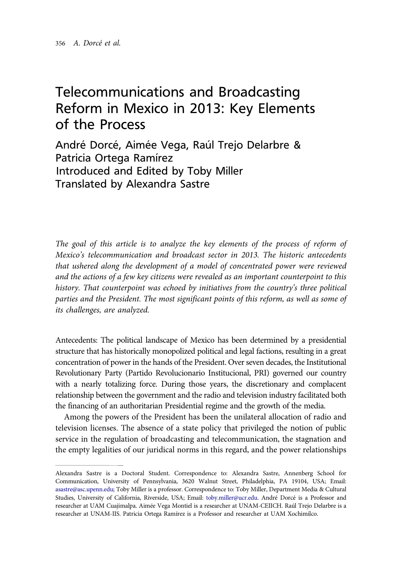# Telecommunications and Broadcasting Reform in Mexico in 2013: Key Elements of the Process

André Dorcé, Aimée Vega, Raúl Trejo Delarbre & Patricia Ortega Ramírez Introduced and Edited by Toby Miller Translated by Alexandra Sastre

The goal of this article is to analyze the key elements of the process of reform of Mexico's telecommunication and broadcast sector in 2013. The historic antecedents that ushered along the development of a model of concentrated power were reviewed and the actions of a few key citizens were revealed as an important counterpoint to this history. That counterpoint was echoed by initiatives from the country's three political parties and the President. The most significant points of this reform, as well as some of its challenges, are analyzed.

Antecedents: The political landscape of Mexico has been determined by a presidential structure that has historically monopolized political and legal factions, resulting in a great concentration of power in the hands of the President. Over seven decades, the Institutional Revolutionary Party (Partido Revolucionario Institucional, PRI) governed our country with a nearly totalizing force. During those years, the discretionary and complacent relationship between the government and the radio and television industry facilitated both the financing of an authoritarian Presidential regime and the growth of the media.

Among the powers of the President has been the unilateral allocation of radio and television licenses. The absence of a state policy that privileged the notion of public service in the regulation of broadcasting and telecommunication, the stagnation and the empty legalities of our juridical norms in this regard, and the power relationships

Alexandra Sastre is a Doctoral Student. Correspondence to: Alexandra Sastre, Annenberg School for Communication, University of Pennsylvania, 3620 Walnut Street, Philadelphia, PA 19104, USA; Email: [asastre@asc.upenn.edu;](mailto:asastre@asc.upenn.edu) Toby Miller is a professor. Correspondence to: Toby Miller, Department Media & Cultural Studies, University of California, Riverside, USA; Email: [toby.miller@ucr.edu.](mailto:toby.miller@ucr.edu) André Dorcé is a Professor and researcher at UAM Cuajimalpa. Aimée Vega Montiel is a researcher at UNAM-CEIICH. Raúl Trejo Delarbre is a researcher at UNAM-IIS. Patricia Ortega Ramírez is a Professor and researcher at UAM Xochimilco.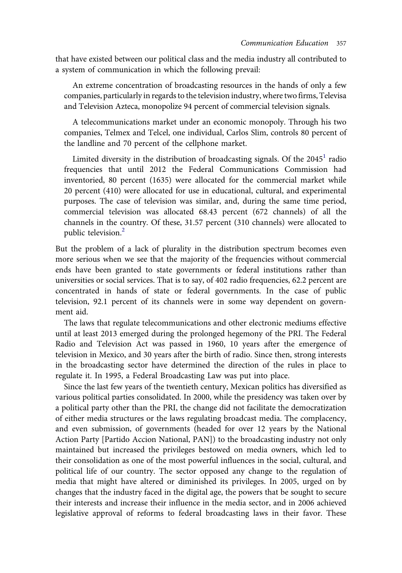that have existed between our political class and the media industry all contributed to a system of communication in which the following prevail:

An extreme concentration of broadcasting resources in the hands of only a few companies, particularly in regards to the television industry, where two firms, Televisa and Television Azteca, monopolize 94 percent of commercial television signals.

A telecommunications market under an economic monopoly. Through his two companies, Telmex and Telcel, one individual, Carlos Slim, controls 80 percent of the landline and 70 percent of the cellphone market.

Limited diversity in the distribution of broadcasting signals. Of the  $2045<sup>1</sup>$  radio frequencies that until 2012 the Federal Communications Commission had inventoried, 80 percent (1635) were allocated for the commercial market while 20 percent (410) were allocated for use in educational, cultural, and experimental purposes. The case of television was similar, and, during the same time period, commercial television was allocated 68.43 percent (672 channels) of all the channels in the country. Of these, 31.57 percent (310 channels) were allocated to public television.<sup>2</sup>

But the problem of a lack of plurality in the distribution spectrum becomes even more serious when we see that the majority of the frequencies without commercial ends have been granted to state governments or federal institutions rather than universities or social services. That is to say, of 402 radio frequencies, 62.2 percent are concentrated in hands of state or federal governments. In the case of public television, 92.1 percent of its channels were in some way dependent on government aid.

The laws that regulate telecommunications and other electronic mediums effective until at least 2013 emerged during the prolonged hegemony of the PRI. The Federal Radio and Television Act was passed in 1960, 10 years after the emergence of television in Mexico, and 30 years after the birth of radio. Since then, strong interests in the broadcasting sector have determined the direction of the rules in place to regulate it. In 1995, a Federal Broadcasting Law was put into place.

Since the last few years of the twentieth century, Mexican politics has diversified as various political parties consolidated. In 2000, while the presidency was taken over by a political party other than the PRI, the change did not facilitate the democratization of either media structures or the laws regulating broadcast media. The complacency, and even submission, of governments (headed for over 12 years by the National Action Party [Partido Accion National, PAN]) to the broadcasting industry not only maintained but increased the privileges bestowed on media owners, which led to their consolidation as one of the most powerful influences in the social, cultural, and political life of our country. The sector opposed any change to the regulation of media that might have altered or diminished its privileges. In 2005, urged on by changes that the industry faced in the digital age, the powers that be sought to secure their interests and increase their influence in the media sector, and in 2006 achieved legislative approval of reforms to federal broadcasting laws in their favor. These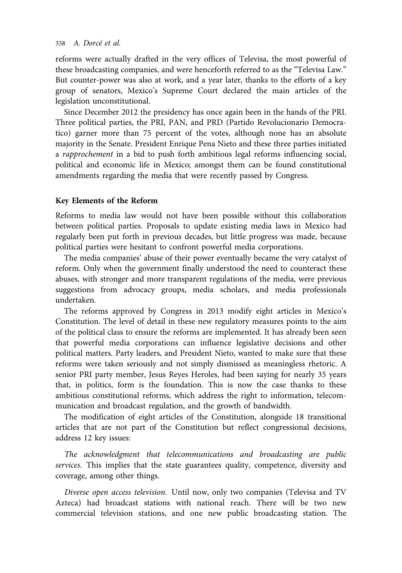#### 358 A. Dorcé et al.

reforms were actually drafted in the very offices of Televisa, the most powerful of these broadcasting companies, and were henceforth referred to as the "Televisa Law." But counter-power was also at work, and a year later, thanks to the efforts of a key group of senators, Mexico's Supreme Court declared the main articles of the legislation unconstitutional.

Since December 2012 the presidency has once again been in the hands of the PRI. Three political parties, the PRI, PAN, and PRD (Partido Revolucionario Democratico) garner more than 75 percent of the votes, although none has an absolute majority in the Senate. President Enrique Pena Nieto and these three parties initiated a rapprochement in a bid to push forth ambitious legal reforms influencing social, political and economic life in Mexico; amongst them can be found constitutional amendments regarding the media that were recently passed by Congress.

#### Key Elements of the Reform

Reforms to media law would not have been possible without this collaboration between political parties. Proposals to update existing media laws in Mexico had regularly been put forth in previous decades, but little progress was made, because political parties were hesitant to confront powerful media corporations.

The media companies' abuse of their power eventually became the very catalyst of reform. Only when the government finally understood the need to counteract these abuses, with stronger and more transparent regulations of the media, were previous suggestions from advocacy groups, media scholars, and media professionals undertaken.

The reforms approved by Congress in 2013 modify eight articles in Mexico's Constitution. The level of detail in these new regulatory measures points to the aim of the political class to ensure the reforms are implemented. It has already been seen that powerful media corporations can influence legislative decisions and other political matters. Party leaders, and President Nieto, wanted to make sure that these reforms were taken seriously and not simply dismissed as meaningless rhetoric. A senior PRI party member, Jesus Reyes Heroles, had been saying for nearly 35 years that, in politics, form is the foundation. This is now the case thanks to these ambitious constitutional reforms, which address the right to information, telecommunication and broadcast regulation, and the growth of bandwidth.

The modification of eight articles of the Constitution, alongside 18 transitional articles that are not part of the Constitution but reflect congressional decisions, address 12 key issues:

The acknowledgment that telecommunications and broadcasting are public services. This implies that the state guarantees quality, competence, diversity and coverage, among other things.

Diverse open access television. Until now, only two companies (Televisa and TV Azteca) had broadcast stations with national reach. There will be two new commercial television stations, and one new public broadcasting station. The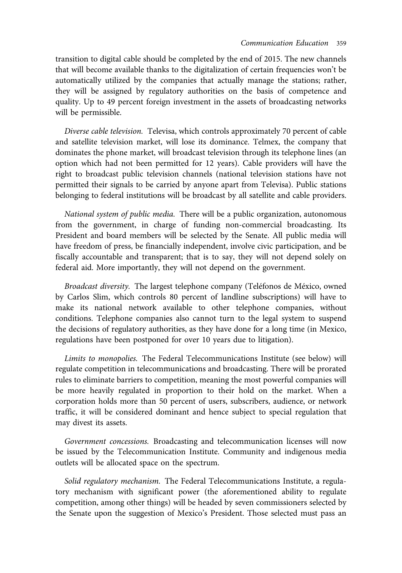transition to digital cable should be completed by the end of 2015. The new channels that will become available thanks to the digitalization of certain frequencies won't be automatically utilized by the companies that actually manage the stations; rather, they will be assigned by regulatory authorities on the basis of competence and quality. Up to 49 percent foreign investment in the assets of broadcasting networks will be permissible.

Diverse cable television. Televisa, which controls approximately 70 percent of cable and satellite television market, will lose its dominance. Telmex, the company that dominates the phone market, will broadcast television through its telephone lines (an option which had not been permitted for 12 years). Cable providers will have the right to broadcast public television channels (national television stations have not permitted their signals to be carried by anyone apart from Televisa). Public stations belonging to federal institutions will be broadcast by all satellite and cable providers.

National system of public media. There will be a public organization, autonomous from the government, in charge of funding non-commercial broadcasting. Its President and board members will be selected by the Senate. All public media will have freedom of press, be financially independent, involve civic participation, and be fiscally accountable and transparent; that is to say, they will not depend solely on federal aid. More importantly, they will not depend on the government.

Broadcast diversity. The largest telephone company (Teléfonos de México, owned by Carlos Slim, which controls 80 percent of landline subscriptions) will have to make its national network available to other telephone companies, without conditions. Telephone companies also cannot turn to the legal system to suspend the decisions of regulatory authorities, as they have done for a long time (in Mexico, regulations have been postponed for over 10 years due to litigation).

Limits to monopolies. The Federal Telecommunications Institute (see below) will regulate competition in telecommunications and broadcasting. There will be prorated rules to eliminate barriers to competition, meaning the most powerful companies will be more heavily regulated in proportion to their hold on the market. When a corporation holds more than 50 percent of users, subscribers, audience, or network traffic, it will be considered dominant and hence subject to special regulation that may divest its assets.

Government concessions. Broadcasting and telecommunication licenses will now be issued by the Telecommunication Institute. Community and indigenous media outlets will be allocated space on the spectrum.

Solid regulatory mechanism. The Federal Telecommunications Institute, a regulatory mechanism with significant power (the aforementioned ability to regulate competition, among other things) will be headed by seven commissioners selected by the Senate upon the suggestion of Mexico's President. Those selected must pass an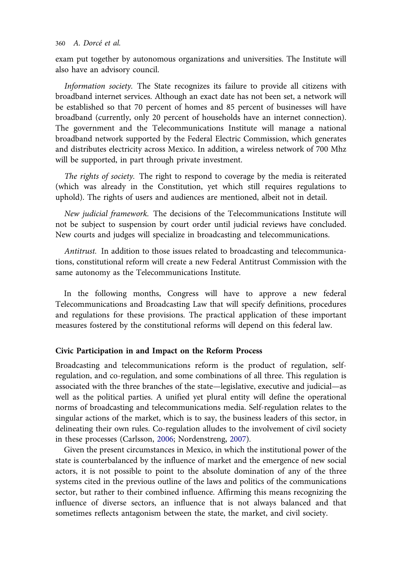#### 360 A. Dorcé et al.

exam put together by autonomous organizations and universities. The Institute will also have an advisory council.

Information society. The State recognizes its failure to provide all citizens with broadband internet services. Although an exact date has not been set, a network will be established so that 70 percent of homes and 85 percent of businesses will have broadband (currently, only 20 percent of households have an internet connection). The government and the Telecommunications Institute will manage a national broadband network supported by the Federal Electric Commission, which generates and distributes electricity across Mexico. In addition, a wireless network of 700 Mhz will be supported, in part through private investment.

The rights of society. The right to respond to coverage by the media is reiterated (which was already in the Constitution, yet which still requires regulations to uphold). The rights of users and audiences are mentioned, albeit not in detail.

New judicial framework. The decisions of the Telecommunications Institute will not be subject to suspension by court order until judicial reviews have concluded. New courts and judges will specialize in broadcasting and telecommunications.

Antitrust. In addition to those issues related to broadcasting and telecommunications, constitutional reform will create a new Federal Antitrust Commission with the same autonomy as the Telecommunications Institute.

In the following months, Congress will have to approve a new federal Telecommunications and Broadcasting Law that will specify definitions, procedures and regulations for these provisions. The practical application of these important measures fostered by the constitutional reforms will depend on this federal law.

#### Civic Participation in and Impact on the Reform Process

Broadcasting and telecommunications reform is the product of regulation, selfregulation, and co-regulation, and some combinations of all three. This regulation is associated with the three branches of the state—legislative, executive and judicial—as well as the political parties. A unified yet plural entity will define the operational norms of broadcasting and telecommunications media. Self-regulation relates to the singular actions of the market, which is to say, the business leaders of this sector, in delineating their own rules. Co-regulation alludes to the involvement of civil society in these processes (Carlsson, [2006;](#page-3-0) Nordenstreng, [2007](#page-3-0)).

Given the present circumstances in Mexico, in which the institutional power of the state is counterbalanced by the influence of market and the emergence of new social actors, it is not possible to point to the absolute domination of any of the three systems cited in the previous outline of the laws and politics of the communications sector, but rather to their combined influence. Affirming this means recognizing the influence of diverse sectors, an influence that is not always balanced and that sometimes reflects antagonism between the state, the market, and civil society.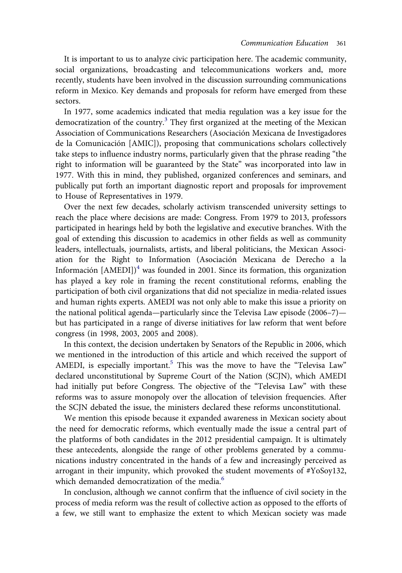It is important to us to analyze civic participation here. The academic community, social organizations, broadcasting and telecommunications workers and, more recently, students have been involved in the discussion surrounding communications reform in Mexico. Key demands and proposals for reform have emerged from these sectors.

In 1977, some academics indicated that media regulation was a key issue for the democratization of the country.<sup>3</sup> They first organized at the meeting of the Mexican Association of Communications Researchers (Asociación Mexicana de Investigadores de la Comunicación [AMIC]), proposing that communications scholars collectively take steps to influence industry norms, particularly given that the phrase reading "the right to information will be guaranteed by the State" was incorporated into law in 1977. With this in mind, they published, organized conferences and seminars, and publically put forth an important diagnostic report and proposals for improvement to House of Representatives in 1979.

Over the next few decades, scholarly activism transcended university settings to reach the place where decisions are made: Congress. From 1979 to 2013, professors participated in hearings held by both the legislative and executive branches. With the goal of extending this discussion to academics in other fields as well as community leaders, intellectuals, journalists, artists, and liberal politicians, the Mexican Association for the Right to Information (Asociación Mexicana de Derecho a la Información  $[AMEDI]^4$  was founded in 2001. Since its formation, this organization has played a key role in framing the recent constitutional reforms, enabling the participation of both civil organizations that did not specialize in media-related issues and human rights experts. AMEDI was not only able to make this issue a priority on the national political agenda—particularly since the Televisa Law episode (2006–7) but has participated in a range of diverse initiatives for law reform that went before congress (in 1998, 2003, 2005 and 2008).

In this context, the decision undertaken by Senators of the Republic in 2006, which we mentioned in the introduction of this article and which received the support of AMEDI, is especially important.<sup>5</sup> This was the move to have the "Televisa Law" declared unconstitutional by Supreme Court of the Nation (SCJN), which AMEDI had initially put before Congress. The objective of the "Televisa Law" with these reforms was to assure monopoly over the allocation of television frequencies. After the SCJN debated the issue, the ministers declared these reforms unconstitutional.

We mention this episode because it expanded awareness in Mexican society about the need for democratic reforms, which eventually made the issue a central part of the platforms of both candidates in the 2012 presidential campaign. It is ultimately these antecedents, alongside the range of other problems generated by a communications industry concentrated in the hands of a few and increasingly perceived as arrogant in their impunity, which provoked the student movements of #YoSoy132, which demanded democratization of the media.<sup>6</sup>

In conclusion, although we cannot confirm that the influence of civil society in the process of media reform was the result of collective action as opposed to the efforts of a few, we still want to emphasize the extent to which Mexican society was made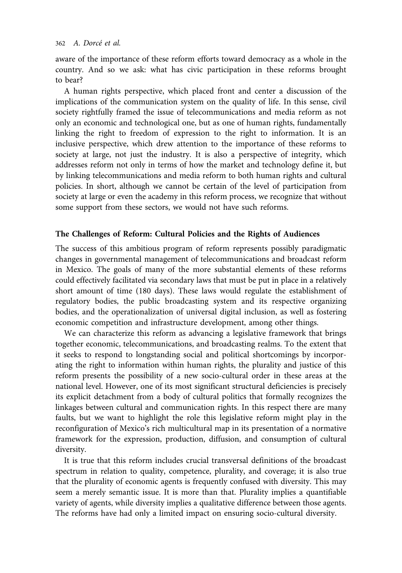aware of the importance of these reform efforts toward democracy as a whole in the country. And so we ask: what has civic participation in these reforms brought to bear?

A human rights perspective, which placed front and center a discussion of the implications of the communication system on the quality of life. In this sense, civil society rightfully framed the issue of telecommunications and media reform as not only an economic and technological one, but as one of human rights, fundamentally linking the right to freedom of expression to the right to information. It is an inclusive perspective, which drew attention to the importance of these reforms to society at large, not just the industry. It is also a perspective of integrity, which addresses reform not only in terms of how the market and technology define it, but by linking telecommunications and media reform to both human rights and cultural policies. In short, although we cannot be certain of the level of participation from society at large or even the academy in this reform process, we recognize that without some support from these sectors, we would not have such reforms.

# The Challenges of Reform: Cultural Policies and the Rights of Audiences

The success of this ambitious program of reform represents possibly paradigmatic changes in governmental management of telecommunications and broadcast reform in Mexico. The goals of many of the more substantial elements of these reforms could effectively facilitated via secondary laws that must be put in place in a relatively short amount of time (180 days). These laws would regulate the establishment of regulatory bodies, the public broadcasting system and its respective organizing bodies, and the operationalization of universal digital inclusion, as well as fostering economic competition and infrastructure development, among other things.

We can characterize this reform as advancing a legislative framework that brings together economic, telecommunications, and broadcasting realms. To the extent that it seeks to respond to longstanding social and political shortcomings by incorporating the right to information within human rights, the plurality and justice of this reform presents the possibility of a new socio-cultural order in these areas at the national level. However, one of its most significant structural deficiencies is precisely its explicit detachment from a body of cultural politics that formally recognizes the linkages between cultural and communication rights. In this respect there are many faults, but we want to highlight the role this legislative reform might play in the reconfiguration of Mexico's rich multicultural map in its presentation of a normative framework for the expression, production, diffusion, and consumption of cultural diversity.

It is true that this reform includes crucial transversal definitions of the broadcast spectrum in relation to quality, competence, plurality, and coverage; it is also true that the plurality of economic agents is frequently confused with diversity. This may seem a merely semantic issue. It is more than that. Plurality implies a quantifiable variety of agents, while diversity implies a qualitative difference between those agents. The reforms have had only a limited impact on ensuring socio-cultural diversity.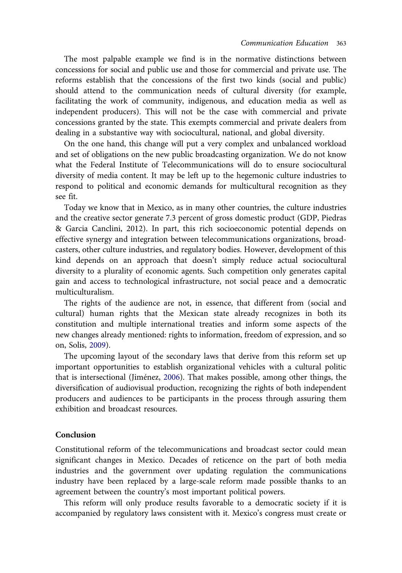The most palpable example we find is in the normative distinctions between concessions for social and public use and those for commercial and private use. The reforms establish that the concessions of the first two kinds (social and public) should attend to the communication needs of cultural diversity (for example, facilitating the work of community, indigenous, and education media as well as independent producers). This will not be the case with commercial and private concessions granted by the state. This exempts commercial and private dealers from dealing in a substantive way with sociocultural, national, and global diversity.

On the one hand, this change will put a very complex and unbalanced workload and set of obligations on the new public broadcasting organization. We do not know what the Federal Institute of Telecommunications will do to ensure sociocultural diversity of media content. It may be left up to the hegemonic culture industries to respond to political and economic demands for multicultural recognition as they see fit.

Today we know that in Mexico, as in many other countries, the culture industries and the creative sector generate 7.3 percent of gross domestic product (GDP, Piedras & Garcia Canclini, 2012). In part, this rich socioeconomic potential depends on effective synergy and integration between telecommunications organizations, broadcasters, other culture industries, and regulatory bodies. However, development of this kind depends on an approach that doesn't simply reduce actual sociocultural diversity to a plurality of economic agents. Such competition only generates capital gain and access to technological infrastructure, not social peace and a democratic multiculturalism.

The rights of the audience are not, in essence, that different from (social and cultural) human rights that the Mexican state already recognizes in both its constitution and multiple international treaties and inform some aspects of the new changes already mentioned: rights to information, freedom of expression, and so on, Solis, [2009\)](#page-12-0).

The upcoming layout of the secondary laws that derive from this reform set up important opportunities to establish organizational vehicles with a cultural politic that is intersectional (Jiménez, [2006\)](#page-3-0). That makes possible, among other things, the diversification of audiovisual production, recognizing the rights of both independent producers and audiences to be participants in the process through assuring them exhibition and broadcast resources.

# Conclusion

Constitutional reform of the telecommunications and broadcast sector could mean significant changes in Mexico. Decades of reticence on the part of both media industries and the government over updating regulation the communications industry have been replaced by a large-scale reform made possible thanks to an agreement between the country's most important political powers.

This reform will only produce results favorable to a democratic society if it is accompanied by regulatory laws consistent with it. Mexico's congress must create or